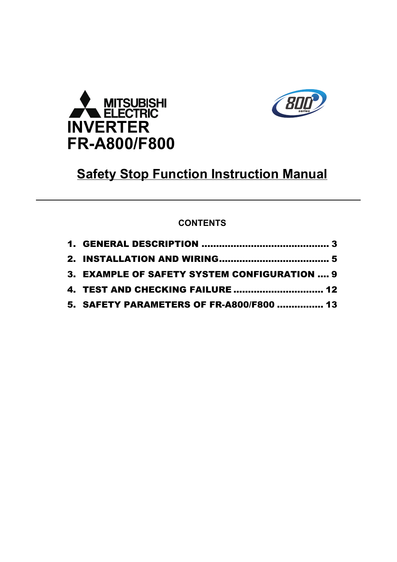



# **Safety Stop Function Instruction Manual**

## **CONTENTS**

| 3. EXAMPLE OF SAFETY SYSTEM CONFIGURATION  9 |  |
|----------------------------------------------|--|
| 4. TEST AND CHECKING FAILURE  12             |  |
| 5. SAFETY PARAMETERS OF FR-A800/F800  13     |  |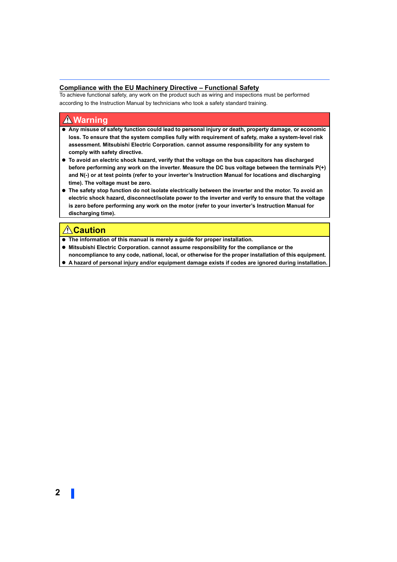#### **Compliance with the EU Machinery Directive – Functional Safety**

To achieve functional safety, any work on the product such as wiring and inspections must be performed according to the Instruction Manual by technicians who took a safety standard training.

### **Warning**

- **Any misuse of safety function could lead to personal injury or death, property damage, or economic loss. To ensure that the system complies fully with requirement of safety, make a system-level risk assessment. Mitsubishi Electric Corporation. cannot assume responsibility for any system to comply with safety directive.**
- **To avoid an electric shock hazard, verify that the voltage on the bus capacitors has discharged before performing any work on the inverter. Measure the DC bus voltage between the terminals P(+) and N(-) or at test points (refer to your inverter's Instruction Manual for locations and discharging time). The voltage must be zero.**
- **The safety stop function do not isolate electrically between the inverter and the motor. To avoid an electric shock hazard, disconnect/isolate power to the inverter and verify to ensure that the voltage is zero before performing any work on the motor (refer to your inverter's Instruction Manual for discharging time).**

## **Caution**

- **The information of this manual is merely a guide for proper installation.**
- Mitsubishi Electric Corporation. cannot assume responsibility for the compliance or the **noncompliance to any code, national, local, or otherwise for the proper installation of this equipment.**
- **A hazard of personal injury and/or equipment damage exists if codes are ignored during installation.**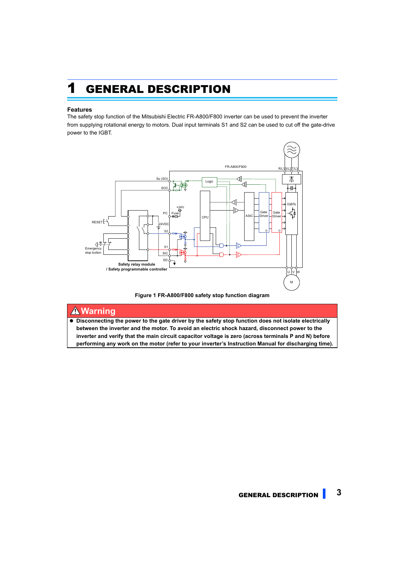# <span id="page-2-0"></span>1 GENERAL DESCRIPTION

#### **Features**

The safety stop function of the Mitsubishi Electric FR-A800/F800 inverter can be used to prevent the inverter from supplying rotational energy to motors. Dual input terminals S1 and S2 can be used to cut off the gate-drive power to the IGBT.





### **Warning**

 **Disconnecting the power to the gate driver by the safety stop function does not isolate electrically between the inverter and the motor. To avoid an electric shock hazard, disconnect power to the inverter and verify that the main circuit capacitor voltage is zero (across terminals P and N) before performing any work on the motor (refer to your inverter's Instruction Manual for discharging time).**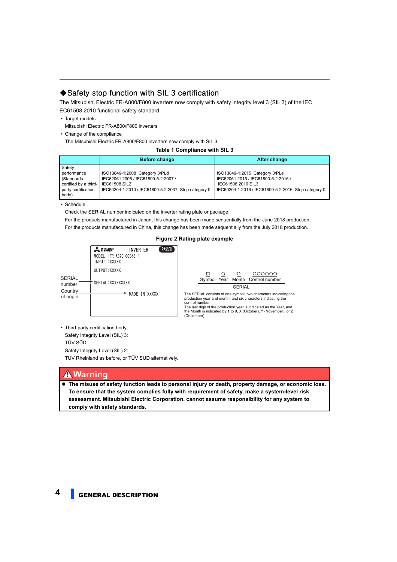### **Safety stop function with SIL 3 certification**

The Mitsubishi Electric FR-A800/F800 inverters now comply with safety integrity level 3 (SIL 3) of the IEC EC61508:2010 functional safety standard.

- Target models
- Mitsubishi Electric FR-A800/F800 inverters
- Change of the compliance

The Mitsubishi Electric FR-A800/F800 inverters now comply with SIL 3.

#### **Table 1 Compliance with SIL 3**

|                                                                                               | <b>Before change</b>                                                                                                                                 | After change                                                                                                                                       |
|-----------------------------------------------------------------------------------------------|------------------------------------------------------------------------------------------------------------------------------------------------------|----------------------------------------------------------------------------------------------------------------------------------------------------|
| Safety<br>performance<br>(Standards)<br>certified by a third-<br>party certification<br>body) | ISO13849-1:2008 Category 3/PLd<br>IEC62061:2005 / IEC61800-5-2:2007 /<br><b>IEC61508 SIL2</b><br>IEC60204-1:2010 / IEC61800-5-2:2007 Stop category 0 | ISO13849-1:2015 Category 3/PLe<br>IEC62061:2015 / IEC61800-5-2:2016 /<br>IEC61508:2010 SIL3<br>IEC60204-1:2016 / IEC61800-5-2:2016 Stop category 0 |

• Schedule

Check the SERIAL number indicated on the inverter rating plate or package.

For the products manufactured in Japan, this change has been made sequentially from the June 2018 production. For the products manufactured in China, this change has been made sequentially from the July 2018 production.

### **Figure 2 Rating plate example**



Symbol Year Month Control number **SERIAL** The SERIAL consists of one symbol, two characters indicating the production year and month, and six characters indicating the The last digit of the production year is indicated as the Year, and the Month is indicated by 1 to 9, X (October), Y (November), or Z

 • Third-party certification body Safety Integrity Level (SIL) 3: TÜV SÜD Safety Integrity Level (SIL) 2: TUV Rheinland as before, or TÜV SÜD alternatively.

### **Warning**

 **The misuse of safety function leads to personal injury or death, property damage, or economic loss. To ensure that the system complies fully with requirement of safety, make a system-level risk assessment. Mitsubishi Electric Corporation. cannot assume responsibility for any system to comply with safety standards.**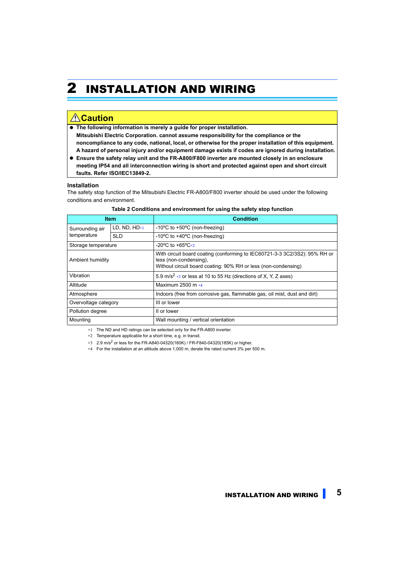# <span id="page-4-0"></span>2 INSTALLATION AND WIRING

## **Caution**

- **The following information is merely a guide for proper installation. Mitsubishi Electric Corporation. cannot assume responsibility for the compliance or the noncompliance to any code, national, local, or otherwise for the proper installation of this equipment. A hazard of personal injury and/or equipment damage exists if codes are ignored during installation.**
- **Ensure the safety relay unit and the FR-A800/F800 inverter are mounted closely in an enclosure meeting IP54 and all interconnection wiring is short and protected against open and short circuit faults. Refer ISO/IEC13849-2.**

#### **Installation**

The safety stop function of the Mitsubishi Electric FR-A800/F800 inverter should be used under the following conditions and environment.

|                                   | <b>Item</b> | <b>Condition</b>                                                                                                                                                       |  |
|-----------------------------------|-------------|------------------------------------------------------------------------------------------------------------------------------------------------------------------------|--|
| LD, ND, $HD*1$<br>Surrounding air |             | -10 $\degree$ C to +50 $\degree$ C (non-freezing)                                                                                                                      |  |
| temperature                       | SLD         | -10 $\degree$ C to +40 $\degree$ C (non-freezing)                                                                                                                      |  |
| Storage temperature               |             | $-20^{\circ}$ C to $+65^{\circ}$ C*2                                                                                                                                   |  |
| Ambient humidity                  |             | With circuit board coating (conforming to IEC60721-3-3 3C2/3S2): 95% RH or<br>less (non-condensing),<br>Without circuit board coating: 90% RH or less (non-condensing) |  |
| Vibration                         |             | 5.9 m/s <sup>2</sup> $*3$ or less at 10 to 55 Hz (directions of X, Y, Z axes)                                                                                          |  |
| Altitude                          |             | Maximum 2500 m $*4$                                                                                                                                                    |  |
| Atmosphere                        |             | Indoors (free from corrosive gas, flammable gas, oil mist, dust and dirt)                                                                                              |  |
| Overvoltage category              |             | III or lower                                                                                                                                                           |  |
| Pollution degree                  |             | II or lower                                                                                                                                                            |  |
| Mounting                          |             | Wall mounting / vertical orientation                                                                                                                                   |  |

#### **Table 2 Conditions and environment for using the safety stop function**

<span id="page-4-1"></span>∗1 The ND and HD ratings can be selected only for the FR-A800 inverter.

<span id="page-4-2"></span>∗2 Temperature applicable for a short time, e.g. in transit.

<span id="page-4-4"></span>∗3 2.9 m/s2 or less for the FR-A840-04320(160K) / FR-F840-04320(185K) or higher.

<span id="page-4-3"></span>∗4 For the installation at an altitude above 1,000 m, derate the rated current 3% per 500 m.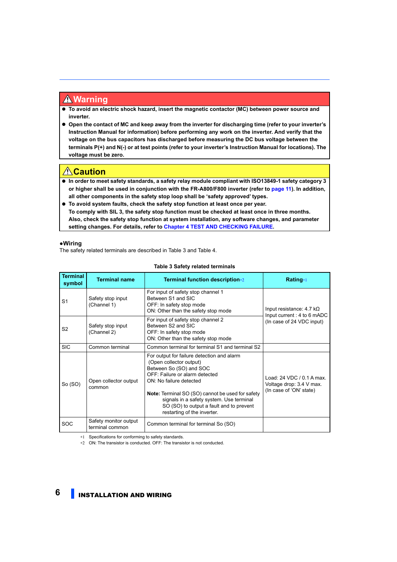### **Warning**

- **To avoid an electric shock hazard, insert the magnetic contactor (MC) between power source and inverter.**
- **Open the contact of MC and keep away from the inverter for discharging time (refer to your inverter's Instruction Manual for information) before performing any work on the inverter. And verify that the voltage on the bus capacitors has discharged before measuring the DC bus voltage between the terminals P(+) and N(-) or at test points (refer to your inverter's Instruction Manual for locations). The voltage must be zero.**

## **Caution**

- **In order to meet safety standards, a safety relay module compliant with ISO13849-1 safety category 3 or higher shall be used in conjunction with the FR-A800/F800 inverter (refer to [page 11](#page-10-0)). In addition, all other components in the safety stop loop shall be 'safety approved' types.**
- **To avoid system faults, check the safety stop function at least once per year. To comply with SIL 3, the safety stop function must be checked at least once in three months. Also, check the safety stop function at system installation, any software changes, and parameter setting changes. For details, refer to Chapter [4 TEST AND CHECKING FAILURE](#page-11-0).**

#### **●Wiring**

The safety related terminals are described in Table 3 and Table 4.

| <b>Terminal</b><br>symbol | <b>Terminal name</b>                     | Terminal function description*2                                                                                                                                                                                                                                                                                                          | Rating*1                                                                         |
|---------------------------|------------------------------------------|------------------------------------------------------------------------------------------------------------------------------------------------------------------------------------------------------------------------------------------------------------------------------------------------------------------------------------------|----------------------------------------------------------------------------------|
| S <sub>1</sub>            | Safety stop input<br>(Channel 1)         | For input of safety stop channel 1<br>Between S1 and SIC<br>OFF: In safety stop mode<br>ON: Other than the safety stop mode                                                                                                                                                                                                              | Input resistance: $4.7 \text{ k}\Omega$<br>Input current: 4 to 6 mADC            |
| S <sub>2</sub>            | Safety stop input<br>(Channel 2)         | For input of safety stop channel 2<br>Between S2 and SIC<br>OFF: In safety stop mode<br>ON: Other than the safety stop mode                                                                                                                                                                                                              | (In case of 24 VDC input)                                                        |
| <b>SIC</b>                | Common terminal                          | Common terminal for terminal S1 and terminal S2                                                                                                                                                                                                                                                                                          |                                                                                  |
| So $(SO)$                 | Open collector output<br>common          | For output for failure detection and alarm<br>(Open collector output)<br>Between So (SO) and SOC<br>OFF: Failure or alarm detected<br>ON: No failure detected<br>Note: Terminal SO (SO) cannot be used for safety<br>signals in a safety system. Use terminal<br>SO (SO) to output a fault and to prevent<br>restarting of the inverter. | Load: 24 VDC / 0.1 A max.<br>Voltage drop: 3.4 V max.<br>(In case of 'ON' state) |
| <b>SOC</b>                | Safety monitor output<br>terminal common | Common terminal for terminal So (SO)                                                                                                                                                                                                                                                                                                     |                                                                                  |

#### **Table 3 Safety related terminals**

<span id="page-5-0"></span>∗1 Specifications for conforming to safety standards.

<span id="page-5-1"></span>∗2 ON: The transistor is conducted. OFF: The transistor is not conducted.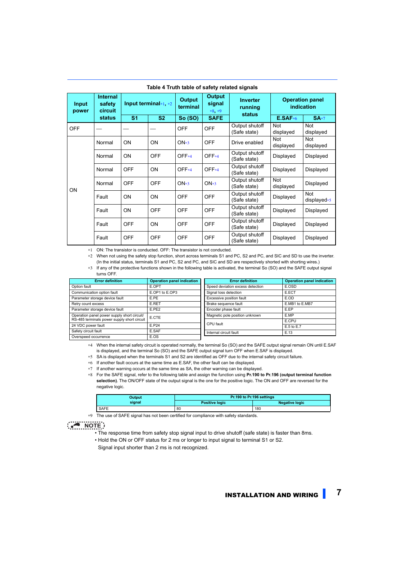| <b>Input</b><br>power | <b>Internal</b><br>safety<br><b>circuit</b> | Input terminal $*1, *2$ |            | <b>Output</b><br><b>Output</b><br>signal<br>terminal<br>$*8, *9$ | <b>Inverter</b><br>running<br><b>status</b> | <b>Operation panel</b><br>indication |                         |                       |
|-----------------------|---------------------------------------------|-------------------------|------------|------------------------------------------------------------------|---------------------------------------------|--------------------------------------|-------------------------|-----------------------|
|                       | status                                      | S <sub>1</sub>          | <b>S2</b>  | <b>So (SO)</b>                                                   | <b>SAFE</b>                                 |                                      | $E.SAF*6$               | $SA*7$                |
| <b>OFF</b>            |                                             |                         |            | <b>OFF</b>                                                       | <b>OFF</b>                                  | Output shutoff<br>(Safe state)       | <b>Not</b><br>displayed | Not<br>displayed      |
|                       | Normal                                      | ON                      | ON         | $ON*3$                                                           | <b>OFF</b>                                  | Drive enabled                        | <b>Not</b><br>displayed | Not<br>displayed      |
|                       | Normal                                      | ON                      | <b>OFF</b> | $OFF*4$                                                          | OFF*4                                       | Output shutoff<br>(Safe state)       | Displayed               | Displayed             |
|                       | Normal                                      | <b>OFF</b>              | ON         | $OFF*4$                                                          | OFF <sub>*4</sub>                           | Output shutoff<br>(Safe state)       | Displayed               | Displayed             |
| ON                    | Normal                                      | <b>OFF</b>              | <b>OFF</b> | $ON*3$                                                           | $ON*3$                                      | Output shutoff<br>(Safe state)       | Not<br>displayed        | Displayed             |
|                       | Fault                                       | ON                      | ON         | <b>OFF</b>                                                       | <b>OFF</b>                                  | Output shutoff<br>(Safe state)       | Displayed               | Not<br>displayed $*5$ |
|                       | Fault                                       | ON                      | <b>OFF</b> | <b>OFF</b>                                                       | <b>OFF</b>                                  | Output shutoff<br>(Safe state)       | Displayed               | Displayed             |
|                       | Fault                                       | <b>OFF</b>              | <b>ON</b>  | <b>OFF</b>                                                       | <b>OFF</b>                                  | Output shutoff<br>(Safe state)       | Displayed               | Displayed             |
|                       | Fault                                       | <b>OFF</b>              | <b>OFF</b> | <b>OFF</b>                                                       | <b>OFF</b>                                  | Output shutoff<br>(Safe state)       | Displayed               | Displayed             |

#### **Table 4 Truth table of safety related signals**

<span id="page-6-0"></span>∗1 ON: The transistor is conducted. OFF: The transistor is not conducted.

<span id="page-6-1"></span>∗2 When not using the safety stop function, short across terminals S1 and PC, S2 and PC, and SIC and SD to use the inverter. (In the initial status, terminals S1 and PC, S2 and PC, and SIC and SD are respectively shorted with shorting wires.)

∗3 If any of the protective functions shown in the following table is activated, the terminal So (SO) and the SAFE output signal turns OFF.

<span id="page-6-4"></span>

| <b>Error definition</b>                     | <b>Operation panel indication</b> | <b>Error definition</b>          | <b>Operation panel indication</b> |
|---------------------------------------------|-----------------------------------|----------------------------------|-----------------------------------|
| Option fault                                | E.OPT                             | Speed deviation excess detection | E.OSD                             |
| Communication option fault                  | E.OP1 to E.OP3                    | Signal loss detection            | E.ECT                             |
| Parameter storage device fault              | E.PE                              | Excessive position fault         | E.OD                              |
| Retry count excess                          | <b>E.RET</b>                      | Brake sequence fault             | E.MB1 to E.MB7                    |
| Parameter storage device fault              | E.PE2                             | Encoder phase fault              | E.EP                              |
| Operation panel power supply short circuit/ | E.CTE                             | Magnetic pole position unknown   | E.MP                              |
| RS-485 terminals power supply short circuit |                                   |                                  | E.CPU                             |
| 24 VDC power fault                          | E.P24                             | CPU fault                        | E.5 to E.7                        |
| Safety circuit fault                        | E.SAF                             | Internal circuit fault           | E.13                              |
| Overspeed occurrence                        | E.OS                              |                                  |                                   |

<span id="page-6-5"></span>∗4 When the internal safety circuit is operated normally, the terminal So (SO) and the SAFE output signal remain ON until E.SAF is displayed, and the terminal So (SO) and the SAFE output signal turn OFF when E.SAF is displayed.

<span id="page-6-6"></span>∗5 SA is displayed when the terminals S1 and S2 are identified as OFF due to the internal safety circuit failure.

<span id="page-6-2"></span>∗6 If another fault occurs at the same time as E.SAF, the other fault can be displayed.

<span id="page-6-3"></span>∗7 If another warning occurs at the same time as SA, the other warning can be displayed.

<span id="page-6-7"></span>∗8 For the SAFE signal, refer to the following table and assign the function using **Pr.190 to Pr.196 (output terminal function selection)**. The ON/OFF state of the output signal is the one for the positive logic. The ON and OFF are reversed for the negative logic.

| Output      | Pr.190 to Pr.196 settings |                       |  |
|-------------|---------------------------|-----------------------|--|
| signal      | <b>Positive logic</b>     | <b>Negative logic</b> |  |
| <b>SAFE</b> | 80                        | 180                   |  |

∗9 The use of SAFE signal has not been certified for compliance with safety standards.

#### <span id="page-6-8"></span>**NOTE**

• The response time from safety stop signal input to drive shutoff (safe state) is faster than 8ms.

- Hold the ON or OFF status for 2 ms or longer to input signal to terminal S1 or S2.
	- Signal input shorter than 2 ms is not recognized.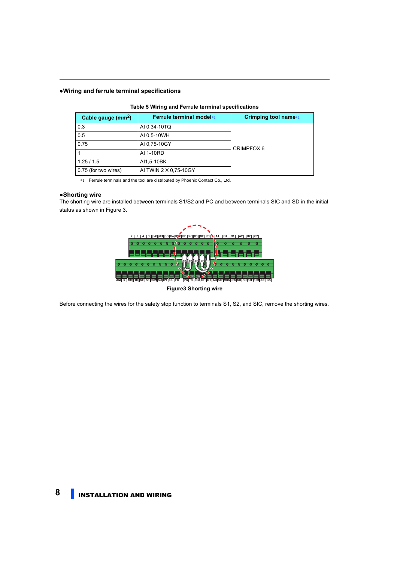#### **●Wiring and ferrule terminal specifications**

| Cable gauge $(mm^2)$ | Ferrule terminal model*1 | Crimping tool name*1 |
|----------------------|--------------------------|----------------------|
| 0.3                  | AI 0,34-10TQ             |                      |
| 0.5                  | AI 0,5-10WH              |                      |
| 0.75                 | AI 0,75-10GY             | CRIMPFOX 6           |
|                      | AI 1-10RD                |                      |
| 1.25/1.5             | AI1,5-10BK               |                      |
| 0.75 (for two wires) | AI TWIN 2 X 0,75-10GY    |                      |

#### **Table 5 Wiring and Ferrule terminal specifications**

∗1 Ferrule terminals and the tool are distributed by Phoenix Contact Co., Ltd.

#### <span id="page-7-0"></span>**●Shorting wire**

The shorting wire are installed between terminals S1/S2 and PC and between terminals SIC and SD in the initial status as shown in Figure 3.



**Figure3 Shorting wire**

Before connecting the wires for the safety stop function to terminals S1, S2, and SIC, remove the shorting wires.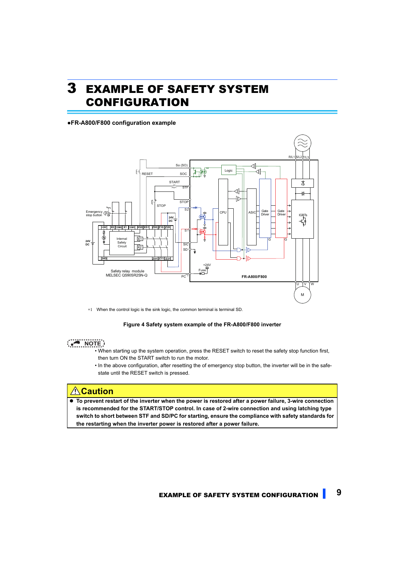# <span id="page-8-0"></span>3 EXAMPLE OF SAFETY SYSTEM CONFIGURATION

#### **●FR-A800/F800 configuration example**



∗1 When the control logic is the sink logic, the common terminal is terminal SD.

#### **Figure 4 Safety system example of the FR-A800/F800 inverter**

### **NOTE**

- When starting up the system operation, press the RESET switch to reset the safety stop function first, then turn ON the START switch to run the motor.
- In the above configuration, after resetting the of emergency stop button, the inverter will be in the safestate until the RESET switch is pressed.

## **Caution**

 **To prevent restart of the inverter when the power is restored after a power failure, 3-wire connection is recommended for the START/STOP control. In case of 2-wire connection and using latching type switch to short between STF and SD/PC for starting, ensure the compliance with safety standards for the restarting when the inverter power is restored after a power failure.**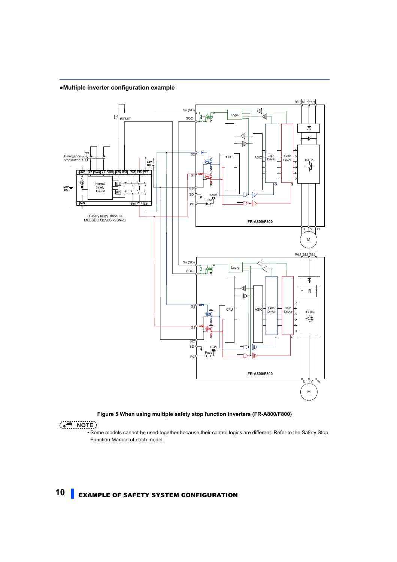#### **●Multiple inverter configuration example**



#### **Figure 5 When using multiple safety stop function inverters (FR-A800/F800)**

**NOTE** 

 • Some models cannot be used together because their control logics are different. Refer to the Safety Stop Function Manual of each model.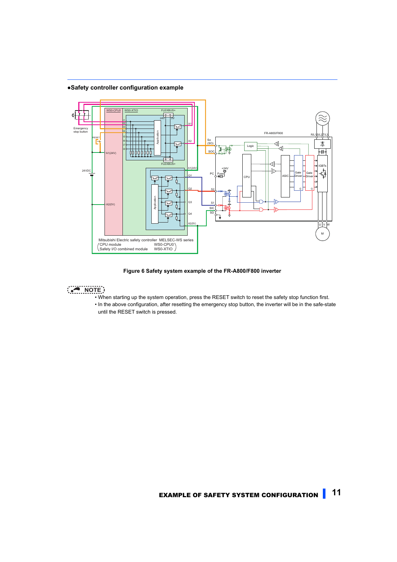<span id="page-10-0"></span>**●Safety controller configuration example**



**Figure 6 Safety system example of the FR-A800/F800 inverter**

- **NOTE** 
	- When starting up the system operation, press the RESET switch to reset the safety stop function first.
	- In the above configuration, after resetting the emergency stop button, the inverter will be in the safe-state until the RESET switch is pressed.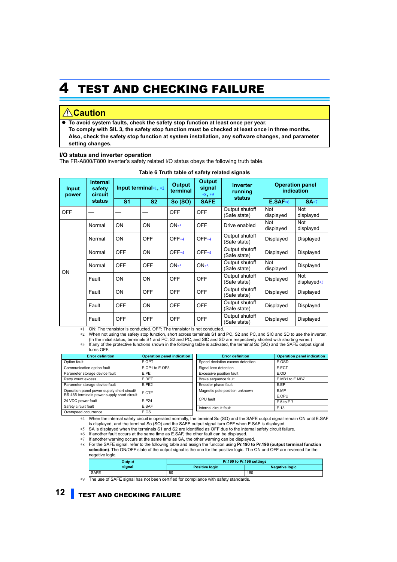# <span id="page-11-0"></span>4 TEST AND CHECKING FAILURE

## *A* Caution

 **To avoid system faults, check the safety stop function at least once per year. To comply with SIL 3, the safety stop function must be checked at least once in three months. Also, check the safety stop function at system installation, any software changes, and parameter setting changes.**

#### **I/O status and inverter operation**

The FR-A800/F800 inverter's safety related I/O status obeys the following truth table.

| Input<br>power | <b>Internal</b><br>safety<br><b>circuit</b> | Input terminal $*1, *2$ |            | <b>Output</b><br><b>Output</b><br>signal<br>terminal<br>$*8, *9$ | <b>Inverter</b><br>running<br><b>status</b> | <b>Operation panel</b><br>indication |                         |                         |
|----------------|---------------------------------------------|-------------------------|------------|------------------------------------------------------------------|---------------------------------------------|--------------------------------------|-------------------------|-------------------------|
|                | status                                      | S <sub>1</sub>          | <b>S2</b>  | So (SO)                                                          | <b>SAFE</b>                                 |                                      | $E.SAF*6$               | $SA*7$                  |
| <b>OFF</b>     |                                             |                         |            | <b>OFF</b>                                                       | <b>OFF</b>                                  | Output shutoff<br>(Safe state)       | <b>Not</b><br>displayed | Not<br>displayed        |
|                | Normal                                      | ON                      | <b>ON</b>  | $ON*3$                                                           | <b>OFF</b>                                  | Drive enabled                        | <b>Not</b><br>displayed | <b>Not</b><br>displayed |
|                | Normal                                      | ON                      | <b>OFF</b> | $OFF*4$                                                          | OFF <sub>*4</sub>                           | Output shutoff<br>(Safe state)       | Displayed               | Displayed               |
|                | Normal                                      | <b>OFF</b>              | <b>ON</b>  | $OFF*4$                                                          | OFF <sub>*4</sub>                           | Output shutoff<br>(Safe state)       | Displayed               | Displayed               |
| ON.            | Normal                                      | <b>OFF</b>              | <b>OFF</b> | $ON*3$                                                           | $ON*3$                                      | Output shutoff<br>(Safe state)       | Not<br>displayed        | Displayed               |
|                | Fault                                       | ON                      | <b>ON</b>  | <b>OFF</b>                                                       | <b>OFF</b>                                  | Output shutoff<br>(Safe state)       | Displayed               | Not<br>displayed $*5$   |
|                | Fault                                       | ON                      | <b>OFF</b> | <b>OFF</b>                                                       | <b>OFF</b>                                  | Output shutoff<br>(Safe state)       | Displayed               | Displayed               |
|                | Fault                                       | <b>OFF</b>              | ON         | <b>OFF</b>                                                       | <b>OFF</b>                                  | Output shutoff<br>(Safe state)       | Displayed               | Displayed               |
|                | Fault                                       | <b>OFF</b>              | <b>OFF</b> | <b>OFF</b>                                                       | <b>OFF</b>                                  | Output shutoff<br>(Safe state)       | Displayed               | Displayed               |

| Table 6 Truth table of safety related signals |
|-----------------------------------------------|
|-----------------------------------------------|

<span id="page-11-1"></span>∗1 ON: The transistor is conducted. OFF: The transistor is not conducted.

∗2 When not using the safety stop function, short across terminals S1 and PC, S2 and PC, and SIC and SD to use the inverter.

(In the initial status, terminals S1 and PC, S2 and PC, and SIC and SD are respectively shorted with shorting wires.) ∗3 If any of the protective functions shown in the following table is activated, the terminal So (SO) and the SAFE output signal

turns OFF.

<span id="page-11-5"></span><span id="page-11-2"></span>

| <b>Error definition</b>                     | <b>Operation panel indication</b> | <b>Error definition</b>          | <b>Operation panel indication</b> |
|---------------------------------------------|-----------------------------------|----------------------------------|-----------------------------------|
| Option fault.                               | E.OPT                             | Speed deviation excess detection | E.OSD                             |
| Communication option fault                  | E.OP1 to E.OP3                    | Signal loss detection            | E.ECT                             |
| Parameter storage device fault              | E.PE                              | Excessive position fault         | E.OD                              |
| Retry count excess                          | E.RET                             | Brake sequence fault             | E.MB1 to E.MB7                    |
| Parameter storage device fault              | E.PE2                             | Encoder phase fault              | E.EP                              |
| Operation panel power supply short circuit/ | E.CTE                             | Magnetic pole position unknown   | E.MP                              |
| RS-485 terminals power supply short circuit |                                   |                                  | E.CPU                             |
| 24 VDC power fault                          | E.P24                             | CPU fault                        | E.5 to E.7                        |
| Safety circuit fault<br>E.SAF               |                                   | Internal circuit fault           | E.13                              |
| Overspeed occurrence                        | E.OS                              |                                  |                                   |

<span id="page-11-6"></span>∗4 When the internal safety circuit is operated normally, the terminal So (SO) and the SAFE output signal remain ON until E.SAF is displayed, and the terminal So (SO) and the SAFE output signal turn OFF when E.SAF is displayed.

<span id="page-11-7"></span>∗5 SA is displayed when the terminals S1 and S2 are identified as OFF due to the internal safety circuit failure.

<span id="page-11-3"></span>∗6 If another fault occurs at the same time as E.SAF, the other fault can be displayed.

<span id="page-11-4"></span>∗7 If another warning occurs at the same time as SA, the other warning can be displayed.

<span id="page-11-8"></span>∗8 For the SAFE signal, refer to the following table and assign the function using **Pr.190 to Pr.196 (output terminal function selection)**. The ON/OFF state of the output signal is the one for the positive logic. The ON and OFF are reversed for the negative logic.

| Output      | Pr.190 to Pr.196 settings |                       |  |
|-------------|---------------------------|-----------------------|--|
| signal      | <b>Positive logic</b>     | <b>Negative logic</b> |  |
| <b>SAFE</b> | 80                        | 180                   |  |

<span id="page-11-9"></span>∗9 The use of SAFE signal has not been certified for compliance with safety standards.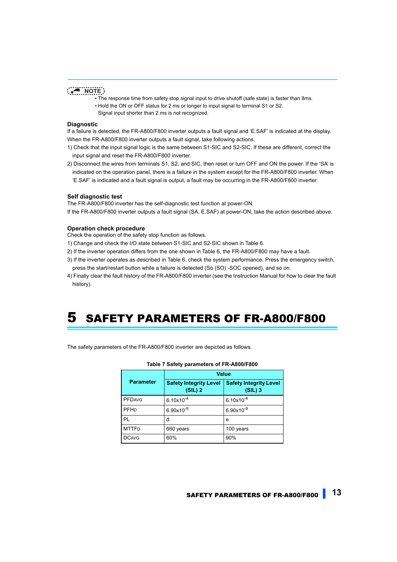### **NOTE**

- The response time from safety stop signal input to drive shutoff (safe state) is faster than 8ms.
- Hold the ON or OFF status for 2 ms or longer to input signal to terminal S1 or S2.
- Signal input shorter than 2 ms is not recognized.

#### **Diagnostic**

If a failure is detected, the FR-A800/F800 inverter outputs a fault signal and 'E.SAF' is indicated at the display. When the FR-A800/F800 inverter outputs a fault signal, take following actions.

- 1) Check that the input signal logic is the same between S1-SIC and S2-SIC. If these are different, correct the input signal and reset the FR-A800/F800 inverter.
- 2) Disconnect the wires from terminals S1, S2, and SIC, then reset or turn OFF and ON the power. If the 'SA' is indicated on the operation panel, there is a failure in the system except for the FR-A800/F800 inverter. When 'E.SAF' is indicated and a fault signal is output, a fault may be occurring in the FR-A800/F800 inverter.

#### **Self diagnostic test**

The FR-A800/F800 inverter has the self-diagnostic test function at power-ON.

If the FR-A800/F800 inverter outputs a fault signal (SA, E.SAF) at power-ON, take the action described above.

#### **Operation check procedure**

Check the operation of the safety stop function as follows.

- 1) Change and check the I/O state between S1-SIC and S2-SIC shown in Table 6.
- 2) If the inverter operation differs from the one shown in Table 6, the FR-A800/F800 may have a fault.
- 3) If the inverter operates as described in Table 6, check the system performance. Press the emergency switch, press the start/restart button while a failure is detected (So (SO) -SOC opened), and so on.
- 4) Finally clear the fault history of the FR-A800/F800 inverter (see the Instruction Manual for how to clear the fault history).

# <span id="page-12-0"></span>5 SAFETY PARAMETERS OF FR-A800/F800

The safety parameters of the FR-A800/F800 inverter are depicted as follows.

| . <i></i>        |                                            |                                            |  |
|------------------|--------------------------------------------|--------------------------------------------|--|
| <b>Parameter</b> | <b>Value</b>                               |                                            |  |
|                  | <b>Safety Integrity Level</b><br>$(SIL)$ 2 | <b>Safety Integrity Level</b><br>$(SIL)$ 3 |  |
| <b>PFDAVG</b>    | $6.10 \times 10^{-4}$                      | $6.10 \times 10^{-4}$                      |  |
| PFHD             | $6.90x10^{-9}$                             | $6.90x10^{-9}$                             |  |
| PL               | d                                          | e                                          |  |
| <b>MTTFD</b>     | 660 years                                  | 100 years                                  |  |
| <b>DCAVG</b>     | 60%                                        | 90%                                        |  |

#### **Table 7 Safety parameters of FR-A800/F800**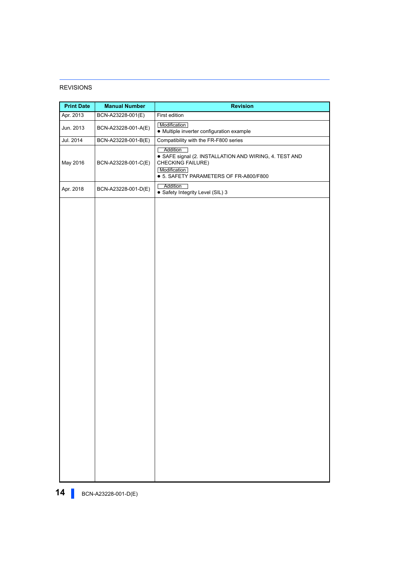#### REVISIONS

<span id="page-13-1"></span><span id="page-13-0"></span>

| <b>Print Date</b> | <b>Manual Number</b> | <b>Revision</b>                                                                                                                                          |
|-------------------|----------------------|----------------------------------------------------------------------------------------------------------------------------------------------------------|
| Apr. 2013         | BCN-A23228-001(E)    | First edition                                                                                                                                            |
| Jun. 2013         | BCN-A23228-001-A(E)  | Modification<br>• Multiple inverter configuration example                                                                                                |
| Jul. 2014         | BCN-A23228-001-B(E)  | Compatibility with the FR-F800 series                                                                                                                    |
| May 2016          | BCN-A23228-001-C(E)  | Addition<br>· SAFE signal (2. INSTALLATION AND WIRING, 4. TEST AND<br><b>CHECKING FAILURE)</b><br>Modification<br>● 5. SAFETY PARAMETERS OF FR-A800/F800 |
| Apr. 2018         | BCN-A23228-001-D(E)  | Addition<br>• Safety Integrity Level (SIL) 3                                                                                                             |
|                   |                      |                                                                                                                                                          |